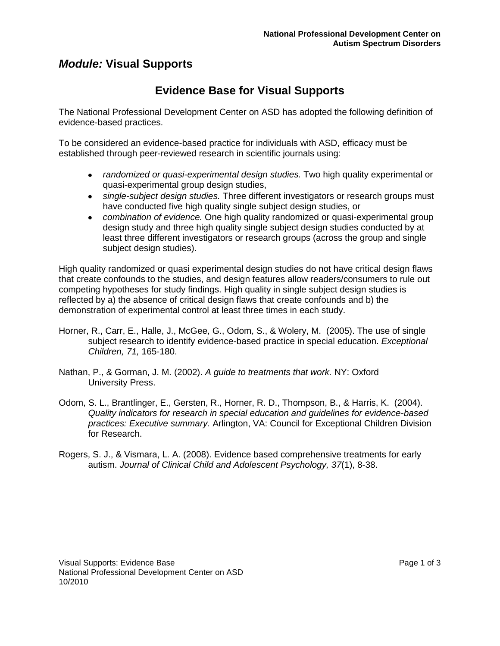## *Module:* **Visual Supports**

# **Evidence Base for Visual Supports**

The National Professional Development Center on ASD has adopted the following definition of evidence-based practices.

To be considered an evidence-based practice for individuals with ASD, efficacy must be established through peer-reviewed research in scientific journals using:

- *randomized or quasi-experimental design studies.* Two high quality experimental or quasi-experimental group design studies,
- *single-subject design studies.* Three different investigators or research groups must have conducted five high quality single subject design studies, or
- *combination of evidence.* One high quality randomized or quasi-experimental group design study and three high quality single subject design studies conducted by at least three different investigators or research groups (across the group and single subject design studies).

High quality randomized or quasi experimental design studies do not have critical design flaws that create confounds to the studies, and design features allow readers/consumers to rule out competing hypotheses for study findings. High quality in single subject design studies is reflected by a) the absence of critical design flaws that create confounds and b) the demonstration of experimental control at least three times in each study.

- Horner, R., Carr, E., Halle, J., McGee, G., Odom, S., & Wolery, M. (2005). The use of single subject research to identify evidence-based practice in special education. *Exceptional Children, 71,* 165-180.
- Nathan, P., & Gorman, J. M. (2002). *A guide to treatments that work.* NY: Oxford University Press.
- Odom, S. L., Brantlinger, E., Gersten, R., Horner, R. D., Thompson, B., & Harris, K. (2004). *Quality indicators for research in special education and guidelines for evidence-based practices: Executive summary.* Arlington, VA: Council for Exceptional Children Division for Research.
- Rogers, S. J., & Vismara, L. A. (2008). Evidence based comprehensive treatments for early autism. *Journal of Clinical Child and Adolescent Psychology, 37*(1), 8-38.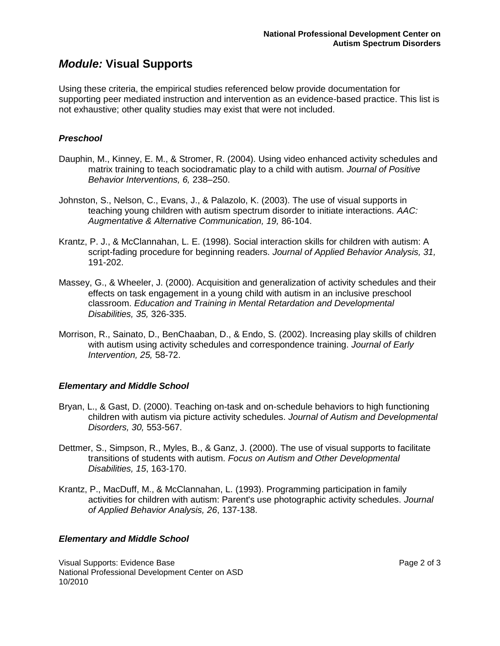### *Module:* **Visual Supports**

Using these criteria, the empirical studies referenced below provide documentation for supporting peer mediated instruction and intervention as an evidence-based practice. This list is not exhaustive; other quality studies may exist that were not included.

#### *Preschool*

- Dauphin, M., Kinney, E. M., & Stromer, R. (2004). Using video enhanced activity schedules and matrix training to teach sociodramatic play to a child with autism. *Journal of Positive Behavior Interventions, 6,* 238–250.
- Johnston, S., Nelson, C., Evans, J., & Palazolo, K. (2003). The use of visual supports in teaching young children with autism spectrum disorder to initiate interactions. *AAC: Augmentative & Alternative Communication, 19,* 86-104.
- Krantz, P. J., & McClannahan, L. E. (1998). Social interaction skills for children with autism: A script-fading procedure for beginning readers. *Journal of Applied Behavior Analysis, 31,*  191-202.
- Massey, G., & Wheeler, J. (2000). Acquisition and generalization of activity schedules and their effects on task engagement in a young child with autism in an inclusive preschool classroom. *Education and Training in Mental Retardation and Developmental Disabilities, 35,* 326-335.
- Morrison, R., Sainato, D., BenChaaban, D., & Endo, S. (2002). Increasing play skills of children with autism using activity schedules and correspondence training. *Journal of Early Intervention, 25,* 58-72.

#### *Elementary and Middle School*

- Bryan, L., & Gast, D. (2000). Teaching on-task and on-schedule behaviors to high functioning children with autism via picture activity schedules. *Journal of Autism and Developmental Disorders, 30,* 553-567.
- Dettmer, S., Simpson, R., Myles, B., & Ganz, J. (2000). The use of visual supports to facilitate transitions of students with autism. *Focus on Autism and Other Developmental Disabilities, 15*, 163-170.
- Krantz, P., MacDuff, M., & McClannahan, L. (1993). Programming participation in family activities for children with autism: Parent's use photographic activity schedules. *Journal of Applied Behavior Analysis, 26*, 137-138.

#### *Elementary and Middle School*

Visual Supports: Evidence Base Page 2 of 3 National Professional Development Center on ASD 10/2010